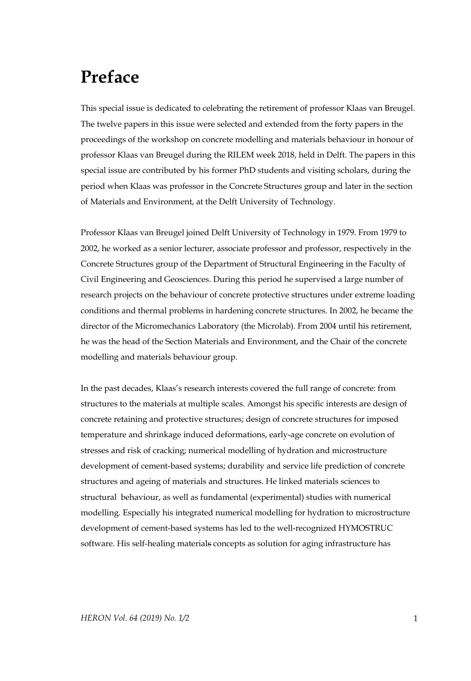## **Preface**

This special issue is dedicated to celebrating the retirement of professor Klaas van Breugel. The twelve papers in this issue were selected and extended from the forty papers in the proceedings of the workshop on concrete modelling and materials behaviour in honour of professor Klaas van Breugel during the RILEM week 2018, held in Delft. The papers in this special issue are contributed by his former PhD students and visiting scholars, during the period when Klaas was professor in the Concrete Structures group and later in the section of Materials and Environment, at the Delft University of Technology.

Professor Klaas van Breugel joined Delft University of Technology in 1979. From 1979 to 2002, he worked as a senior lecturer, associate professor and professor, respectively in the Concrete Structures group of the Department of Structural Engineering in the Faculty of Civil Engineering and Geosciences. During this period he supervised a large number of research projects on the behaviour of concrete protective structures under extreme loading conditions and thermal problems in hardening concrete structures. In 2002, he became the director of the Micromechanics Laboratory (the Microlab). From 2004 until his retirement, he was the head of the Section Materials and Environment, and the Chair of the concrete modelling and materials behaviour group.

In the past decades, Klaas's research interests covered the full range of concrete: from structures to the materials at multiple scales. Amongst his specific interests are design of concrete retaining and protective structures; design of concrete structures for imposed temperature and shrinkage induced deformations, early-age concrete on evolution of stresses and risk of cracking; numerical modelling of hydration and microstructure development of cement-based systems; durability and service life prediction of concrete structures and ageing of materials and structures. He linked materials sciences to structural behaviour, as well as fundamental (experimental) studies with numerical modelling. Especially his integrated numerical modelling for hydration to microstructure development of cement-based systems has led to the well-recognized HYMOSTRUC software. His self-healing materials concepts as solution for aging infrastructure has